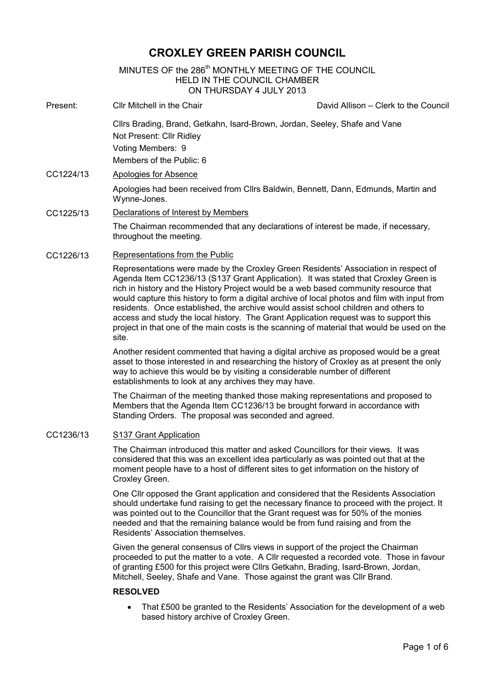# **CROXLEY GREEN PARISH COUNCIL**

## MINUTES OF the 286<sup>th</sup> MONTHLY MEETING OF THE COUNCIL HELD IN THE COUNCIL CHAMBER ON THURSDAY 4 JULY 2013

- Ĩ. Present: Cllr Mitchell in the Chair David Allison – Clerk to the Council Cllrs Brading, Brand, Getkahn, Isard-Brown, Jordan, Seeley, Shafe and Vane Not Present: Cllr Ridley Voting Members: 9 Members of the Public: 6 CC1224/13 Apologies for Absence Apologies had been received from Cllrs Baldwin, Bennett, Dann, Edmunds, Martin and Wynne-Jones.
- CC1225/13 Declarations of Interest by Members The Chairman recommended that any declarations of interest be made, if necessary, throughout the meeting.
- CC1226/13 Representations from the Public

Representations were made by the Croxley Green Residents' Association in respect of Agenda Item CC1236/13 (S137 Grant Application). It was stated that Croxley Green is rich in history and the History Project would be a web based community resource that would capture this history to form a digital archive of local photos and film with input from residents. Once established, the archive would assist school children and others to access and study the local history. The Grant Application request was to support this project in that one of the main costs is the scanning of material that would be used on the site.

Another resident commented that having a digital archive as proposed would be a great asset to those interested in and researching the history of Croxley as at present the only way to achieve this would be by visiting a considerable number of different establishments to look at any archives they may have.

The Chairman of the meeting thanked those making representations and proposed to Members that the Agenda Item CC1236/13 be brought forward in accordance with Standing Orders. The proposal was seconded and agreed.

#### CC1236/13 S137 Grant Application

The Chairman introduced this matter and asked Councillors for their views. It was considered that this was an excellent idea particularly as was pointed out that at the moment people have to a host of different sites to get information on the history of Croxley Green.

One Cllr opposed the Grant application and considered that the Residents Association should undertake fund raising to get the necessary finance to proceed with the project. It was pointed out to the Councillor that the Grant request was for 50% of the monies needed and that the remaining balance would be from fund raising and from the Residents' Association themselves.

Given the general consensus of Cllrs views in support of the project the Chairman proceeded to put the matter to a vote. A Cllr requested a recorded vote. Those in favour of granting £500 for this project were Cllrs Getkahn, Brading, Isard-Brown, Jordan, Mitchell, Seeley, Shafe and Vane. Those against the grant was Cllr Brand.

## **RESOLVED**

• That £500 be granted to the Residents' Association for the development of a web based history archive of Croxley Green.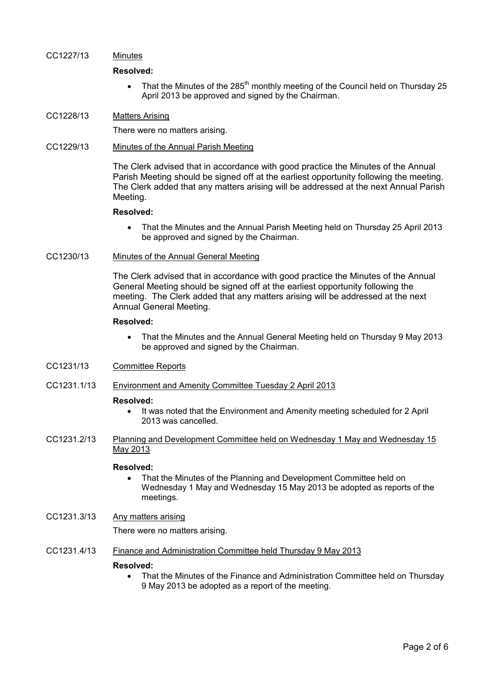#### CC1227/13 Minutes

#### **Resolved:**

• That the Minutes of the 285<sup>th</sup> monthly meeting of the Council held on Thursday 25 April 2013 be approved and signed by the Chairman.

#### CC1228/13 Matters Arising

There were no matters arising.

#### CC1229/13 Minutes of the Annual Parish Meeting

The Clerk advised that in accordance with good practice the Minutes of the Annual Parish Meeting should be signed off at the earliest opportunity following the meeting. The Clerk added that any matters arising will be addressed at the next Annual Parish Meeting.

#### **Resolved:**

• That the Minutes and the Annual Parish Meeting held on Thursday 25 April 2013 be approved and signed by the Chairman.

#### CC1230/13 Minutes of the Annual General Meeting

The Clerk advised that in accordance with good practice the Minutes of the Annual General Meeting should be signed off at the earliest opportunity following the meeting. The Clerk added that any matters arising will be addressed at the next Annual General Meeting.

## **Resolved:**

• That the Minutes and the Annual General Meeting held on Thursday 9 May 2013 be approved and signed by the Chairman.

## CC1231/13 Committee Reports

CC1231.1/13 Environment and Amenity Committee Tuesday 2 April 2013

#### **Resolved:**

- It was noted that the Environment and Amenity meeting scheduled for 2 April 2013 was cancelled.
- CC1231.2/13 Planning and Development Committee held on Wednesday 1 May and Wednesday 15 May 2013

#### **Resolved:**

• That the Minutes of the Planning and Development Committee held on Wednesday 1 May and Wednesday 15 May 2013 be adopted as reports of the meetings.

## CC1231.3/13 Any matters arising

There were no matters arising.

CC1231.4/13 Finance and Administration Committee held Thursday 9 May 2013

#### **Resolved:**

• That the Minutes of the Finance and Administration Committee held on Thursday 9 May 2013 be adopted as a report of the meeting.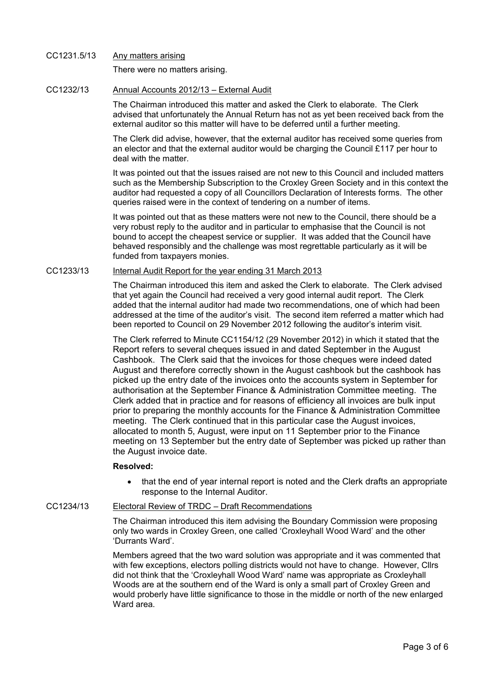## CC1231.5/13 Any matters arising There were no matters arising.

## CC1232/13 Annual Accounts 2012/13 – External Audit

The Chairman introduced this matter and asked the Clerk to elaborate. The Clerk advised that unfortunately the Annual Return has not as yet been received back from the external auditor so this matter will have to be deferred until a further meeting.

The Clerk did advise, however, that the external auditor has received some queries from an elector and that the external auditor would be charging the Council £117 per hour to deal with the matter.

It was pointed out that the issues raised are not new to this Council and included matters such as the Membership Subscription to the Croxley Green Society and in this context the auditor had requested a copy of all Councillors Declaration of Interests forms. The other queries raised were in the context of tendering on a number of items.

It was pointed out that as these matters were not new to the Council, there should be a very robust reply to the auditor and in particular to emphasise that the Council is not bound to accept the cheapest service or supplier. It was added that the Council have behaved responsibly and the challenge was most regrettable particularly as it will be funded from taxpayers monies.

## CC1233/13 Internal Audit Report for the year ending 31 March 2013

The Chairman introduced this item and asked the Clerk to elaborate. The Clerk advised that yet again the Council had received a very good internal audit report. The Clerk added that the internal auditor had made two recommendations, one of which had been addressed at the time of the auditor's visit. The second item referred a matter which had been reported to Council on 29 November 2012 following the auditor's interim visit.

The Clerk referred to Minute CC1154/12 (29 November 2012) in which it stated that the Report refers to several cheques issued in and dated September in the August Cashbook. The Clerk said that the invoices for those cheques were indeed dated August and therefore correctly shown in the August cashbook but the cashbook has picked up the entry date of the invoices onto the accounts system in September for authorisation at the September Finance & Administration Committee meeting. The Clerk added that in practice and for reasons of efficiency all invoices are bulk input prior to preparing the monthly accounts for the Finance & Administration Committee meeting. The Clerk continued that in this particular case the August invoices, allocated to month 5, August, were input on 11 September prior to the Finance meeting on 13 September but the entry date of September was picked up rather than the August invoice date.

## **Resolved:**

• that the end of year internal report is noted and the Clerk drafts an appropriate response to the Internal Auditor.

## CC1234/13 Electoral Review of TRDC – Draft Recommendations

The Chairman introduced this item advising the Boundary Commission were proposing only two wards in Croxley Green, one called 'Croxleyhall Wood Ward' and the other 'Durrants Ward'.

Members agreed that the two ward solution was appropriate and it was commented that with few exceptions, electors polling districts would not have to change. However, Cllrs did not think that the 'Croxleyhall Wood Ward' name was appropriate as Croxleyhall Woods are at the southern end of the Ward is only a small part of Croxley Green and would proberly have little significance to those in the middle or north of the new enlarged Ward area.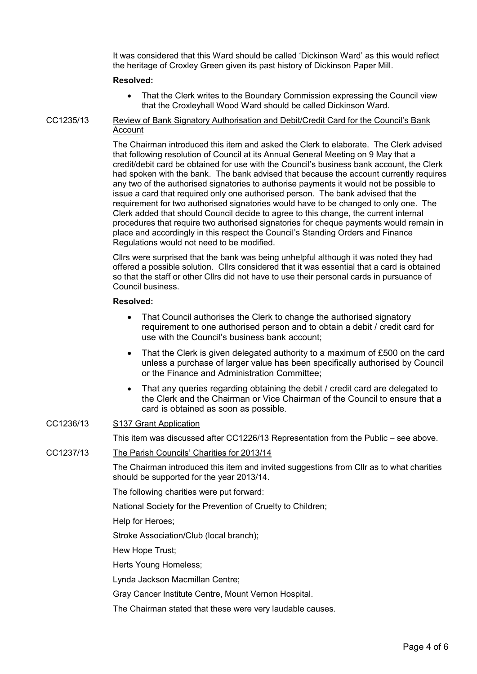It was considered that this Ward should be called 'Dickinson Ward' as this would reflect the heritage of Croxley Green given its past history of Dickinson Paper Mill.

#### **Resolved:**

• That the Clerk writes to the Boundary Commission expressing the Council view that the Croxleyhall Wood Ward should be called Dickinson Ward.

CC1235/13 Review of Bank Signatory Authorisation and Debit/Credit Card for the Council's Bank **Account** 

> The Chairman introduced this item and asked the Clerk to elaborate. The Clerk advised that following resolution of Council at its Annual General Meeting on 9 May that a credit/debit card be obtained for use with the Council's business bank account, the Clerk had spoken with the bank. The bank advised that because the account currently requires any two of the authorised signatories to authorise payments it would not be possible to issue a card that required only one authorised person. The bank advised that the requirement for two authorised signatories would have to be changed to only one. The Clerk added that should Council decide to agree to this change, the current internal procedures that require two authorised signatories for cheque payments would remain in place and accordingly in this respect the Council's Standing Orders and Finance Regulations would not need to be modified.

Cllrs were surprised that the bank was being unhelpful although it was noted they had offered a possible solution. Cllrs considered that it was essential that a card is obtained so that the staff or other Cllrs did not have to use their personal cards in pursuance of Council business.

#### **Resolved:**

- That Council authorises the Clerk to change the authorised signatory requirement to one authorised person and to obtain a debit / credit card for use with the Council's business bank account;
- That the Clerk is given delegated authority to a maximum of £500 on the card unless a purchase of larger value has been specifically authorised by Council or the Finance and Administration Committee;
- That any queries regarding obtaining the debit / credit card are delegated to the Clerk and the Chairman or Vice Chairman of the Council to ensure that a card is obtained as soon as possible.

#### CC1236/13 S137 Grant Application

This item was discussed after CC1226/13 Representation from the Public – see above.

#### CC1237/13 The Parish Councils' Charities for 2013/14

The Chairman introduced this item and invited suggestions from Cllr as to what charities should be supported for the year 2013/14.

The following charities were put forward:

National Society for the Prevention of Cruelty to Children;

Help for Heroes;

Stroke Association/Club (local branch);

Hew Hope Trust;

Herts Young Homeless;

Lynda Jackson Macmillan Centre;

Gray Cancer Institute Centre, Mount Vernon Hospital.

The Chairman stated that these were very laudable causes.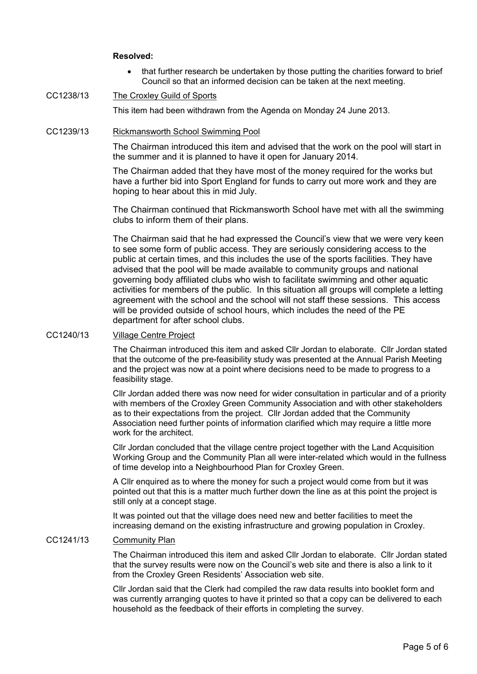## **Resolved:**

• that further research be undertaken by those putting the charities forward to brief Council so that an informed decision can be taken at the next meeting.

## CC1238/13 The Croxley Guild of Sports

This item had been withdrawn from the Agenda on Monday 24 June 2013.

#### CC1239/13 Rickmansworth School Swimming Pool

The Chairman introduced this item and advised that the work on the pool will start in the summer and it is planned to have it open for January 2014.

The Chairman added that they have most of the money required for the works but have a further bid into Sport England for funds to carry out more work and they are hoping to hear about this in mid July.

The Chairman continued that Rickmansworth School have met with all the swimming clubs to inform them of their plans.

The Chairman said that he had expressed the Council's view that we were very keen to see some form of public access. They are seriously considering access to the public at certain times, and this includes the use of the sports facilities. They have advised that the pool will be made available to community groups and national governing body affiliated clubs who wish to facilitate swimming and other aquatic activities for members of the public. In this situation all groups will complete a letting agreement with the school and the school will not staff these sessions. This access will be provided outside of school hours, which includes the need of the PE department for after school clubs.

#### CC1240/13 Village Centre Project

The Chairman introduced this item and asked Cllr Jordan to elaborate. Cllr Jordan stated that the outcome of the pre-feasibility study was presented at the Annual Parish Meeting and the project was now at a point where decisions need to be made to progress to a feasibility stage.

Cllr Jordan added there was now need for wider consultation in particular and of a priority with members of the Croxley Green Community Association and with other stakeholders as to their expectations from the project. Cllr Jordan added that the Community Association need further points of information clarified which may require a little more work for the architect.

Cllr Jordan concluded that the village centre project together with the Land Acquisition Working Group and the Community Plan all were inter-related which would in the fullness of time develop into a Neighbourhood Plan for Croxley Green.

A Cllr enquired as to where the money for such a project would come from but it was pointed out that this is a matter much further down the line as at this point the project is still only at a concept stage.

It was pointed out that the village does need new and better facilities to meet the increasing demand on the existing infrastructure and growing population in Croxley.

## CC1241/13 Community Plan

The Chairman introduced this item and asked Cllr Jordan to elaborate. Cllr Jordan stated that the survey results were now on the Council's web site and there is also a link to it from the Croxley Green Residents' Association web site.

Cllr Jordan said that the Clerk had compiled the raw data results into booklet form and was currently arranging quotes to have it printed so that a copy can be delivered to each household as the feedback of their efforts in completing the survey.